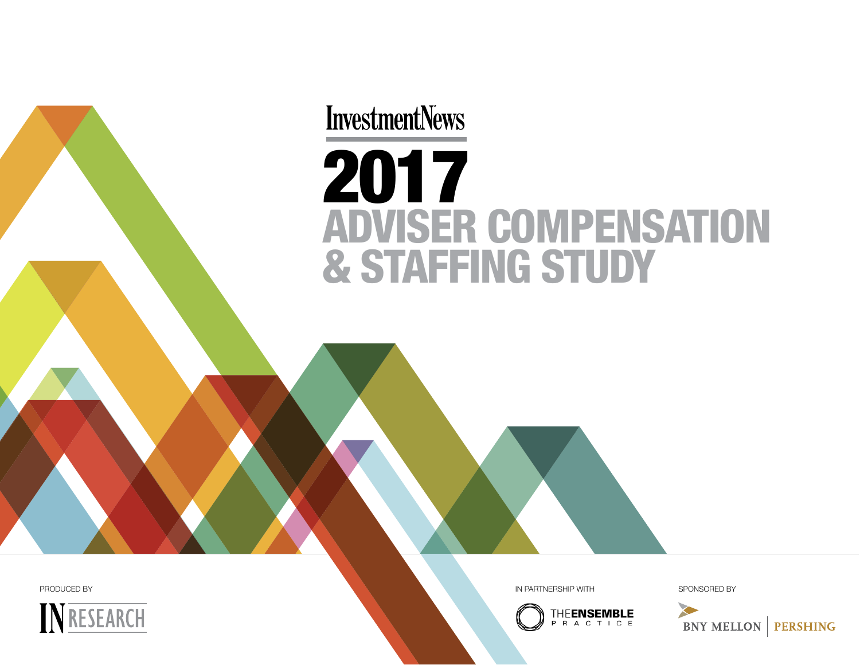# **InvestmentNews** 2017 ADVISER COMPENSATION & STAFFING STUDY



PRODUCED BY SPONSORED BY SPONSORED BY A SAME RELEASED BY A SPONSORED BY A SPONSORED BY

**THEENSEMBLE RACTICE** 

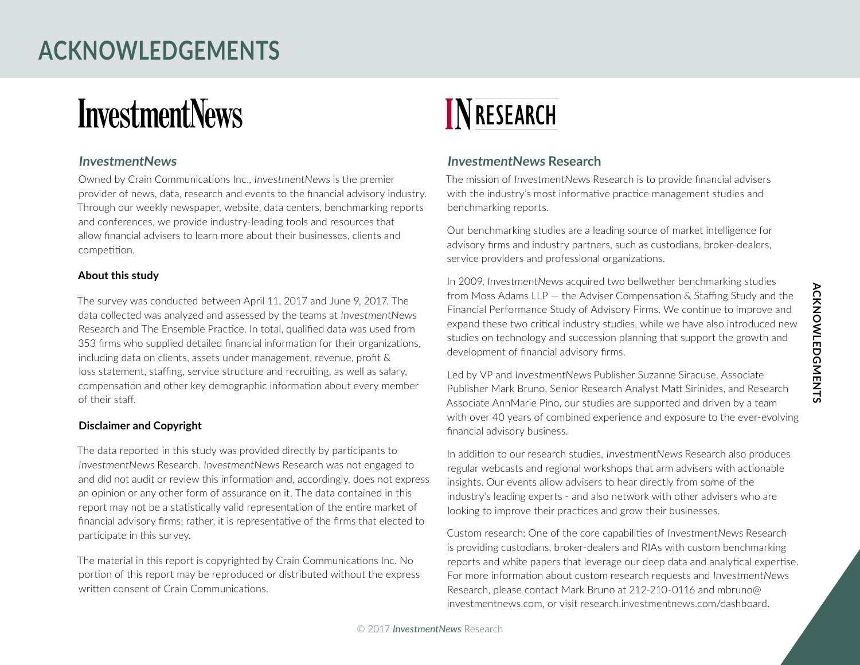# **ACkNowleDgemeNts**

# **InvestmentNews**

#### **InvestmentNews**

Owned by Crain Communications Inc., InvestmentNews is the premier provider of news, data, research and events to the financial advisory industry. Through our weekly newspaper, website, data centers, benchmarking reports and conferences, we provide industry-leading tools and resources that allow financial advisers to learn more about their businesses, clients and competition.

#### **About this study**

The survey was conducted between April 11, 2017 and June 9, 2017. The data collected was analyzed and assessed by the teams at InvestmentNews Research and The Ensemble Practice. In total, qualified data was used from 353 firms who supplied detailed financial information for their organizations, including data on clients, assets under management, revenue, profit & loss statement, staffing, service structure and recruiting, as well as salary, compensation and other key demographic information about every member of their staff.

#### **Disclaimer and Copyright**

The data reported in this study was provided directly by participants to InvestmentNews Research. InvestmentNews Research was not engaged to and did not audit or review this information and, accordingly, does not express an opinion or any other form of assurance on it. The data contained in this report may not be a statistically valid representation of the entire market of financial advisory firms; rather, it is representative of the firms that elected to participate in this survey.

The material in this report is copyrighted by Crain Communications Inc. No portion of this report may be reproduced or distributed without the express written consent of Crain Communications.

# **INRESEARCH**

#### **InvestmentNews Research**

The mission of InvestmentNews Research is to provide financial advisers with the industry's most informative practice management studies and benchmarking reports.

Our benchmarking studies are a leading source of market intelligence for advisory firms and industry partners, such as custodians, broker-dealers, service providers and professional organizations.

In 2009, InvestmentNews acquired two bellwether benchmarking studies from Moss Adams LLP — the Adviser Compensation & Staffing Study and the Financial Performance Study of Advisory Firms. We continue to improve and expand these two critical industry studies, while we have also introduced new studies on technology and succession planning that support the growth and development of financial advisory firms.

Led by VP and InvestmentNews Publisher Suzanne Siracuse, Associate Publisher Mark Bruno, Senior Research Analyst Matt Sirinides, and Research Associate AnnMarie Pino, our studies are supported and driven by a team with over 40 years of combined experience and exposure to the ever-evolving financial advisory business.

In addition to our research studies, InvestmentNews Research also produces regular webcasts and regional workshops that arm advisers with actionable insights. Our events allow advisers to hear directly from some of the industry's leading experts - and also network with other advisers who are looking to improve their practices and grow their businesses.

 investmentnews.com, or visit research.investmentnews.com/dashboard. Custom research: One of the core capabilities of InvestmentNews Research is providing custodians, broker-dealers and RIAs with custom benchmarking reports and white papers that leverage our deep data and analytical expertise. For more information about custom research requests and InvestmentNews Research, please contact Mark Bruno at 212-210-0116 and mbruno@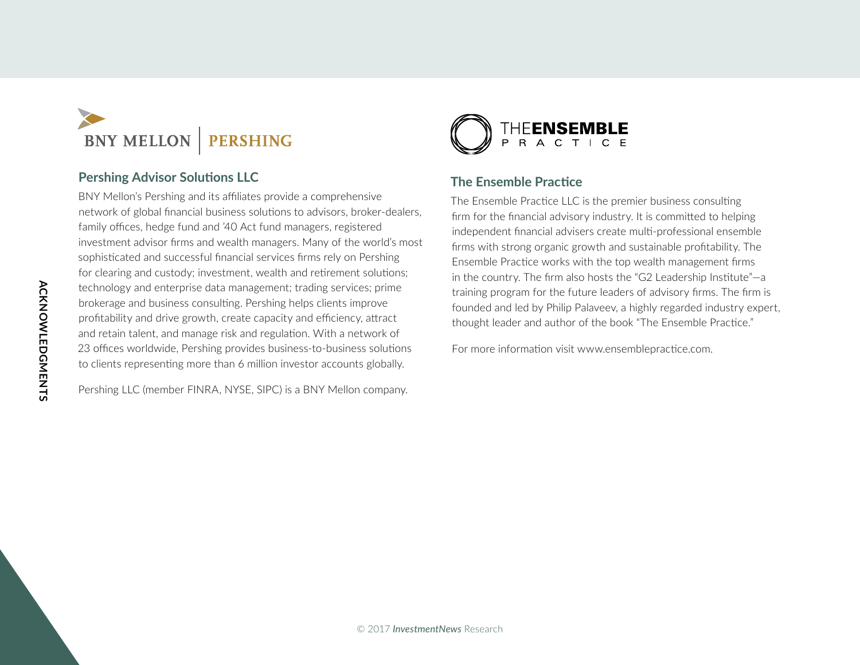

#### **Pershing Advisor Solutions LLC**

BNY Mellon's Pershing and its affiliates provide a comprehensive network of global financial business solutions to advisors, broker-dealers, family offices, hedge fund and '40 Act fund managers, registered investment advisor firms and wealth managers. Many of the world's most sophisticated and successful financial services firms rely on Pershing for clearing and custody; investment, wealth and retirement solutions; technology and enterprise data management; trading services; prime brokerage and business consulting. Pershing helps clients improve profitability and drive growth, create capacity and efficiency, attract and retain talent, and manage risk and regulation. With a network of 23 offices worldwide, Pershing provides business-to-business solutions to clients representing more than 6 million investor accounts globally.

Pershing LLC (member FINRA, NYSE, SIPC) is a BNY Mellon company.



#### **The Ensemble Practice**

The Ensemble Practice LLC is the premier business consulting firm for the financial advisory industry. It is committed to helping independent financial advisers create multi-professional ensemble firms with strong organic growth and sustainable profitability. The Ensemble Practice works with the top wealth management firms in the country. The firm also hosts the "G2 Leadership Institute"—a training program for the future leaders of advisory firms. The firm is founded and led by Philip Palaveev, a highly regarded industry expert, thought leader and author of the book "The Ensemble Practice."

For more information visit www.ensemblepractice.com.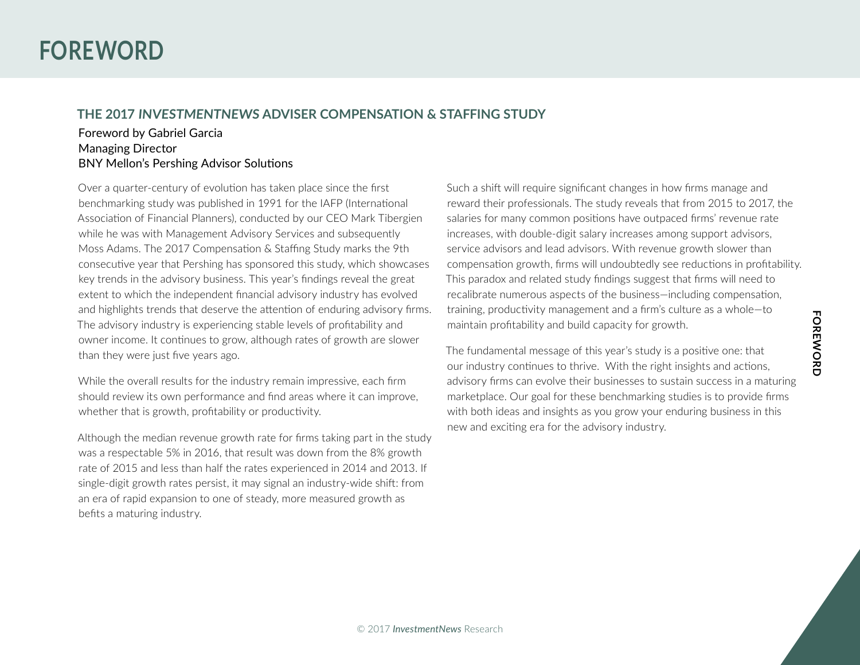# **FORENORD foRewoRD**

# **foRewoRD**

#### **the 2017 INvestmeNtNews ADvIseR CompeNsAtIoN & stAffINg stuDy**

#### Foreword by Gabriel Garcia Managing Director BNY Mellon's Pershing Advisor Solutions

Over a quarter-century of evolution has taken place since the first benchmarking study was published in 1991 for the IAFP (International Association of Financial Planners), conducted by our CEO Mark Tibergien while he was with Management Advisory Services and subsequently Moss Adams. The 2017 Compensation & Staffing Study marks the 9th consecutive year that Pershing has sponsored this study, which showcases key trends in the advisory business. This year's findings reveal the great extent to which the independent financial advisory industry has evolved and highlights trends that deserve the attention of enduring advisory firms. The advisory industry is experiencing stable levels of profitability and owner income. It continues to grow, although rates of growth are slower than they were just five years ago.

While the overall results for the industry remain impressive, each firm should review its own performance and find areas where it can improve, whether that is growth, profitability or productivity.

Although the median revenue growth rate for firms taking part in the study was a respectable 5% in 2016, that result was down from the 8% growth rate of 2015 and less than half the rates experienced in 2014 and 2013. If single-digit growth rates persist, it may signal an industry-wide shift: from an era of rapid expansion to one of steady, more measured growth as befits a maturing industry.

Such a shift will require significant changes in how firms manage and reward their professionals. The study reveals that from 2015 to 2017, the salaries for many common positions have outpaced firms' revenue rate increases, with double-digit salary increases among support advisors, service advisors and lead advisors. With revenue growth slower than compensation growth, firms will undoubtedly see reductions in profitability. This paradox and related study findings suggest that firms will need to recalibrate numerous aspects of the business—including compensation, training, productivity management and a firm's culture as a whole—to maintain profitability and build capacity for growth.

The fundamental message of this year's study is a positive one: that our industry continues to thrive. With the right insights and actions, advisory firms can evolve their businesses to sustain success in a maturing marketplace. Our goal for these benchmarking studies is to provide firms with both ideas and insights as you grow your enduring business in this new and exciting era for the advisory industry.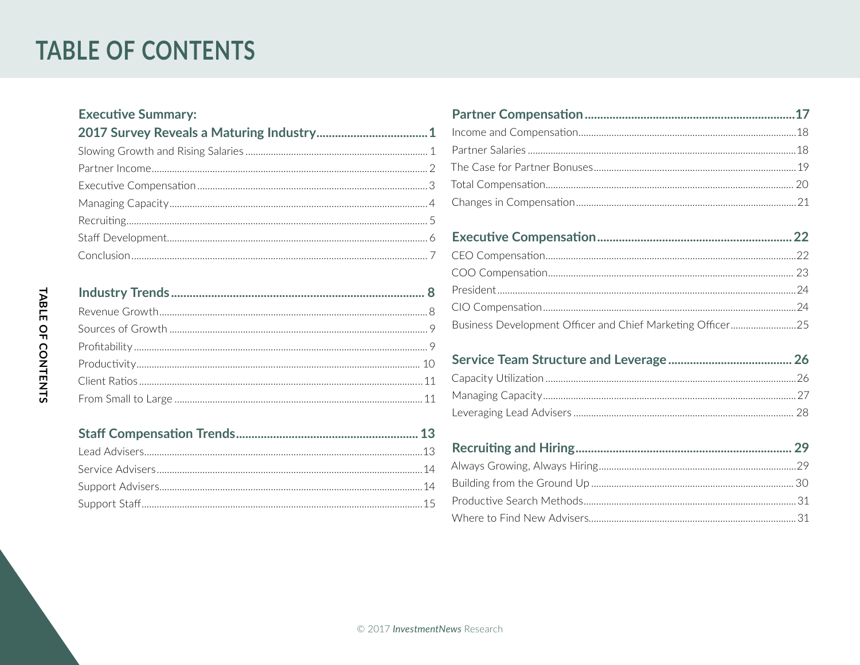# **TABLE OF CONTENTS**

### **Executive Summary:**

| $\frac{1}{2}$ | $\gamma_{\Lambda}$ |
|---------------|--------------------|

| Business Development Officer and Chief Marketing Officer25 |  |
|------------------------------------------------------------|--|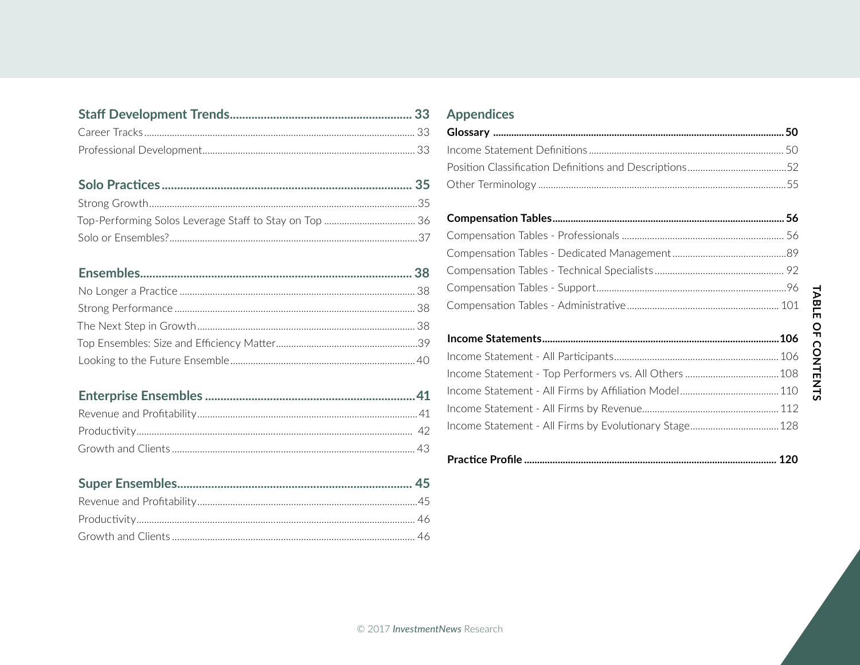### 

### 

### **Appendices**

#### $\sim$   $\sim$   $\sim$   $\sim$   $\sim$  $\sim$

###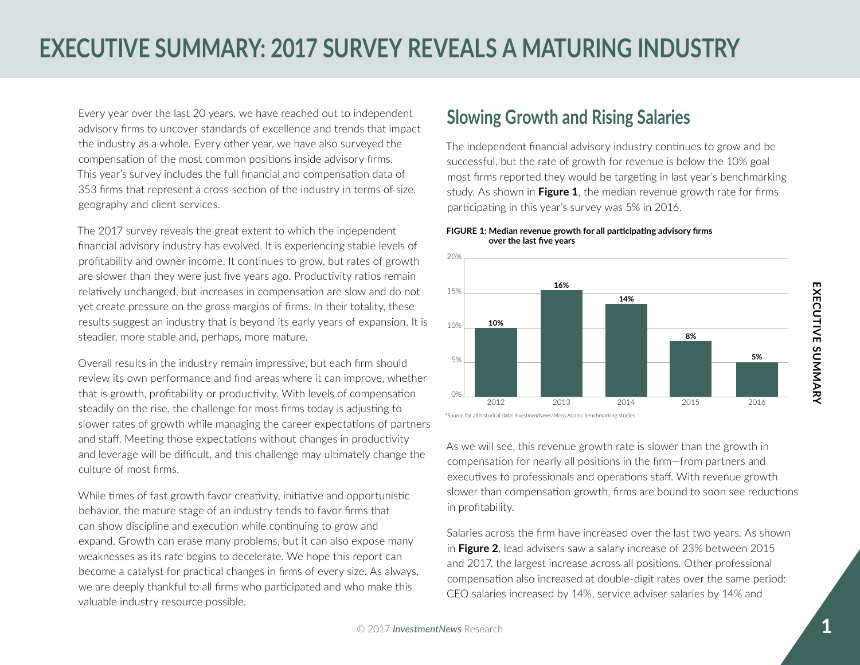Every year over the last 20 years, we have reached out to independent advisory firms to uncover standards of excellence and trends that impact the industry as a whole. Every other year, we have also surveyed the compensation of the most common positions inside advisory firms. This year's survey includes the full financial and compensation data of 353 firms that represent a cross-section of the industry in terms of size, geography and client services.

The 2017 survey reveals the great extent to which the independent financial advisory industry has evolved. It is experiencing stable levels of profitability and owner income. It continues to grow, but rates of growth are slower than they were just five years ago. Productivity ratios remain relatively unchanged, but increases in compensation are slow and do not yet create pressure on the gross margins of firms. In their totality, these results suggest an industry that is beyond its early years of expansion. It is steadier, more stable and, perhaps, more mature.

Overall results in the industry remain impressive, but each firm should review its own performance and find areas where it can improve, whether that is growth, profitability or productivity. With levels of compensation steadily on the rise, the challenge for most firms today is adjusting to slower rates of growth while managing the career expectations of partners and staff. Meeting those expectations without changes in productivity and leverage will be difficult, and this challenge may ultimately change the culture of most firms.

While times of fast growth favor creativity, initiative and opportunistic behavior, the mature stage of an industry tends to favor firms that can show discipline and execution while continuing to grow and expand. Growth can erase many problems, but it can also expose many weaknesses as its rate begins to decelerate. We hope this report can become a catalyst for practical changes in firms of every size. As always, we are deeply thankful to all firms who participated and who make this valuable industry resource possible.

# **slowing growth and Rising salaries**

The independent financial advisory industry continues to grow and be successful, but the rate of growth for revenue is below the 10% goal most firms reported they would be targeting in last year's benchmarking study. As shown in **figure 1**, the median revenue growth rate for firms participating in this year's survey was 5% in 2016.

#### **FIGURE 1: Median revenue growth for all participating advisory firms over the last five years**



<sup>\*</sup>Source for all historical data: *InvestmentNews*/Moss Adams benchmarking studies

As we will see, this revenue growth rate is slower than the growth in compensation for nearly all positions in the firm—from partners and executives to professionals and operations staff. With revenue growth slower than compensation growth, firms are bound to soon see reductions in profitability.

Salaries across the firm have increased over the last two years. As shown in **figure 2**, lead advisers saw a salary increase of 23% between 2015 and 2017, the largest increase across all positions. Other professional compensation also increased at double-digit rates over the same period: CEO salaries increased by 14%, service adviser salaries by 14% and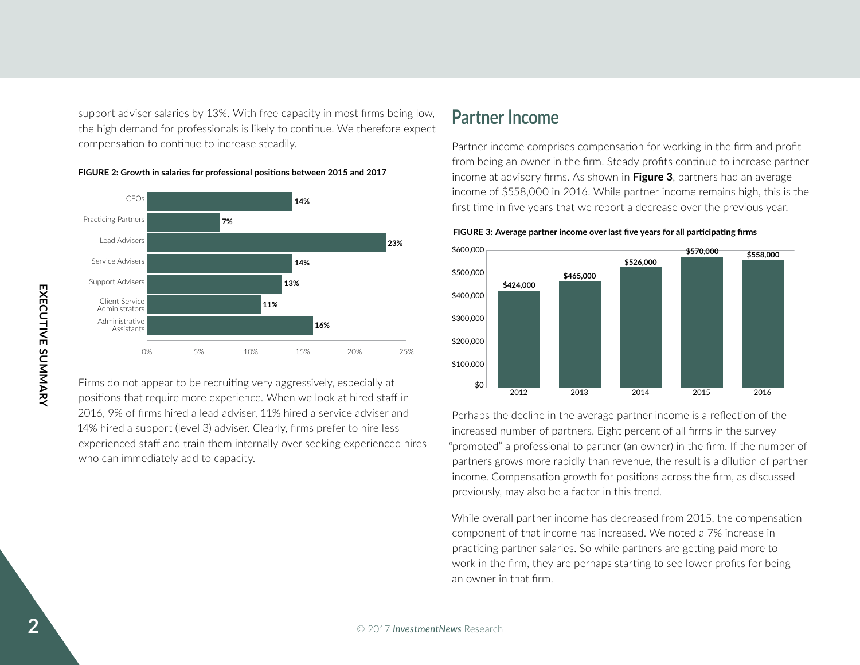support adviser salaries by 13%. With free capacity in most firms being low, the high demand for professionals is likely to continue. We therefore expect compensation to continue to increase steadily.



**FIGURE 2: Growth in salaries for professional posi�ons between 2015 and 2017** 

# **Executive Constrained Constrained Constrained Constrained Constrained Constrained Constrained Constrained Constrained Constrained Constrained Constrained Constrained Constrained Constrained Constrained Constrained Constra** Firms do not appear to be recruiting very aggressively, especially at positions that require more experience. When we look at hired staff in 2016, 9% of firms hired a lead adviser, 11% hired a service adviser and 14% hired a support (level 3) adviser. Clearly, firms prefer to hire less experienced staff and train them internally over seeking experienced hires who can immediately add to capacity.

# **partner Income**

Partner income comprises compensation for working in the firm and profit from being an owner in the firm. Steady profits continue to increase partner income at advisory firms. As shown in **figure 3**, partners had an average income of \$558,000 in 2016. While partner income remains high, this is the first time in five years that we report a decrease over the previous year.



#### FIGURE 3: Average partner income over last five years for all participating firms

Perhaps the decline in the average partner income is a reflection of the increased number of partners. Eight percent of all firms in the survey "promoted" a professional to partner (an owner) in the firm. If the number of partners grows more rapidly than revenue, the result is a dilution of partner income. Compensation growth for positions across the firm, as discussed previously, may also be a factor in this trend.

While overall partner income has decreased from 2015, the compensation component of that income has increased. We noted a 7% increase in practicing partner salaries. So while partners are getting paid more to work in the firm, they are perhaps starting to see lower profits for being an owner in that firm.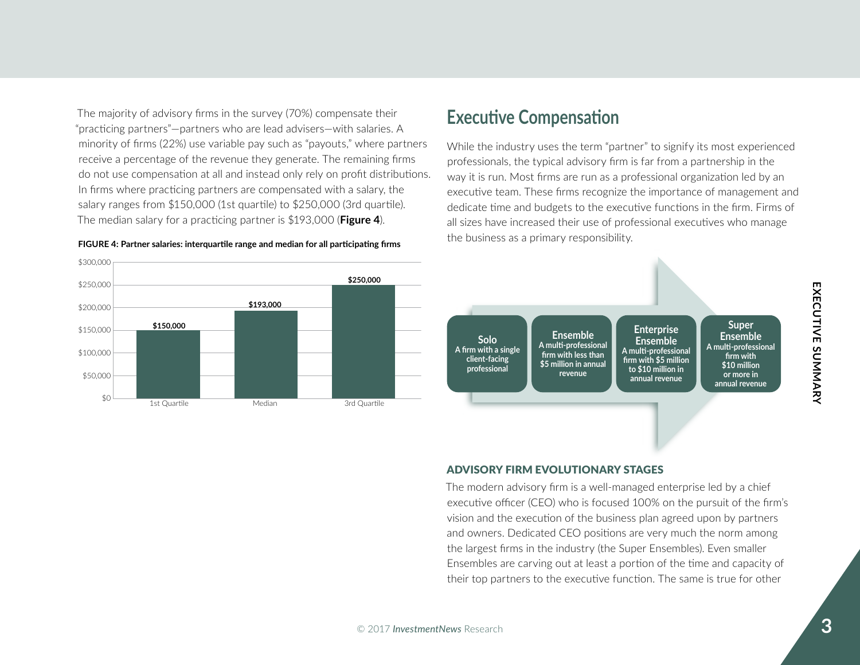The majority of advisory firms in the survey (70%) compensate their "practicing partners"—partners who are lead advisers—with salaries. A minority of firms (22%) use variable pay such as "payouts," where partners receive a percentage of the revenue they generate. The remaining firms do not use compensation at all and instead only rely on profit distributions. In firms where practicing partners are compensated with a salary, the salary ranges from \$150,000 (1st quartile) to \$250,000 (3rd quartile). The median salary for a practicing partner is \$193,000 (**figure 4**).

#### **FIGURE 4: Partner salaries: interquartile range and median for all participating firms**

**\$193,000** 

1st Quartile Median Median 3rd Quartile

**\$250,000** 

\$300,000

\$250,000

\$200,000

\$150,000

**\$150,000** 

\$100,000

\$50,000

\$0

# **Executive Compensation**

While the industry uses the term "partner" to signify its most experienced professionals, the typical advisory firm is far from a partnership in the way it is run. Most firms are run as a professional organization led by an executive team. These firms recognize the importance of management and dedicate time and budgets to the executive functions in the firm. Firms of all sizes have increased their use of professional executives who manage the business as a primary responsibility.



#### Advisory Firm EvolutionAry stAgEs

The modern advisory firm is a well-managed enterprise led by a chief executive officer (CEO) who is focused 100% on the pursuit of the firm's vision and the execution of the business plan agreed upon by partners and owners. Dedicated CEO positions are very much the norm among the largest firms in the industry (the Super Ensembles). Even smaller Ensembles are carving out at least a portion of the time and capacity of their top partners to the executive function. The same is true for other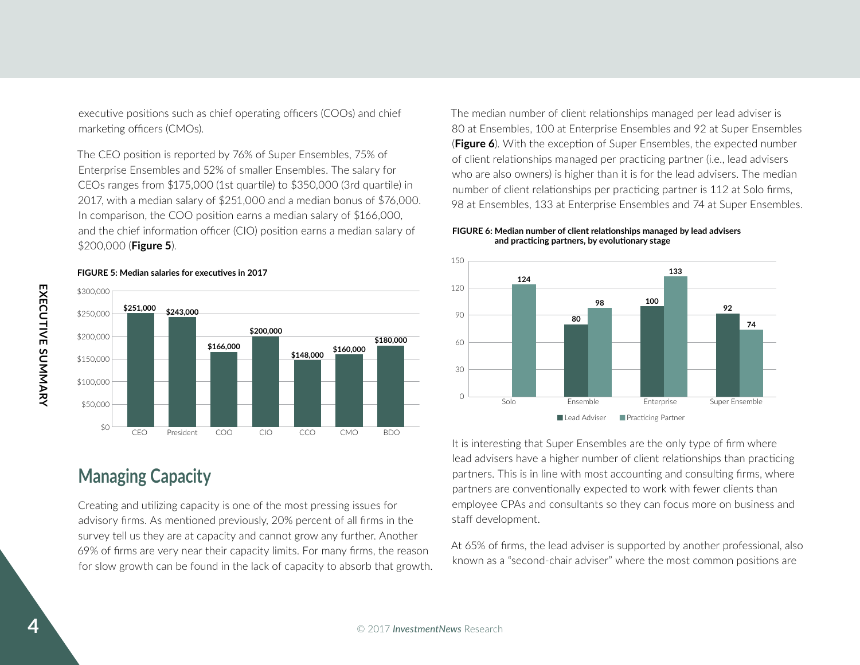executive positions such as chief operating officers (COOs) and chief marketing officers (CMOs).

The CEO position is reported by 76% of Super Ensembles, 75% of Enterprise Ensembles and 52% of smaller Ensembles. The salary for CEOs ranges from \$175,000 (1st quartile) to \$350,000 (3rd quartile) in 2017, with a median salary of \$251,000 and a median bonus of \$76,000. In comparison, the COO position earns a median salary of \$166,000, and the chief information officer (CIO) position earns a median salary of \$200,000 (**figure 5**).

#### **\$166,000**  \$300,000 \$250,000 \$200,000 \$150,000 \$100,000 \$50,000 \$0 **\$251,000 92 \$243,000** <sup>90</sup> **\$200,000 \$180,000** 60 **\$160,000 \$148,000**  CEO President COO CIO CCO CMO BDO

**Managing Capacity** 

Creating and utilizing capacity is one of the most pressing issues for advisory firms. As mentioned previously, 20% percent of all firms in the survey tell us they are at capacity and cannot grow any further. Another 69% of firms are very near their capacity limits. For many firms, the reason for slow growth can be found in the lack of capacity to absorb that growth.

The median number of client relationships managed per lead adviser is 80 at Ensembles, 100 at Enterprise Ensembles and 92 at Super Ensembles (**figure 6**). With the exception of Super Ensembles, the expected number of client relationships managed per practicing partner (i.e., lead advisers who are also owners) is higher than it is for the lead advisers. The median number of client relationships per practicing partner is 112 at Solo firms, 98 at Ensembles, 133 at Enterprise Ensembles and 74 at Super Ensembles.

#### FIGURE 6: Median number of client relationships managed by lead advisers and practicing partners, by evolutionary stage



It is interesting that Super Ensembles are the only type of firm where lead advisers have a higher number of client relationships than practicing partners. This is in line with most accounting and consulting firms, where partners are conventionally expected to work with fewer clients than employee CPAs and consultants so they can focus more on business and staff development.

At 65% of firms, the lead adviser is supported by another professional, also known as a "second-chair adviser" where the most common positions are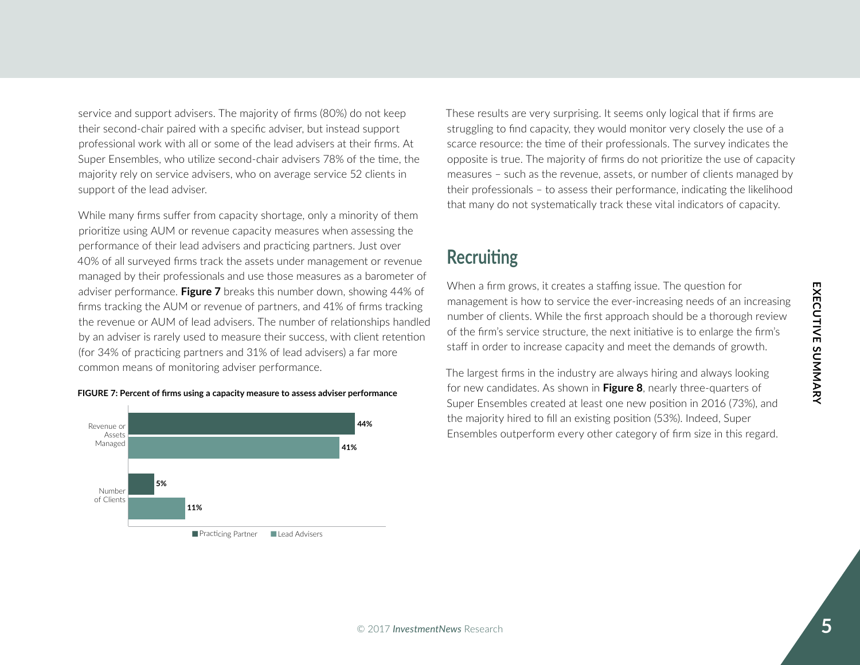EXECUTIVE SUMMARY **exeCutIve summARy** 

service and support advisers. The majority of firms (80%) do not keep their second-chair paired with a specific adviser, but instead support professional work with all or some of the lead advisers at their firms. At Super Ensembles, who utilize second-chair advisers 78% of the time, the majority rely on service advisers, who on average service 52 clients in support of the lead adviser.

While many firms suffer from capacity shortage, only a minority of them prioritize using AUM or revenue capacity measures when assessing the performance of their lead advisers and practicing partners. Just over 40% of all surveyed firms track the assets under management or revenue managed by their professionals and use those measures as a barometer of adviser performance. **figure 7** breaks this number down, showing 44% of firms tracking the AUM or revenue of partners, and 41% of firms tracking the revenue or AUM of lead advisers. The number of relationships handled by an adviser is rarely used to measure their success, with client retention (for 34% of practicing partners and 31% of lead advisers) a far more common means of monitoring adviser performance.





#### Practicing Partner ⊔ Lead Advisers

These results are very surprising. It seems only logical that if firms are struggling to find capacity, they would monitor very closely the use of a scarce resource: the time of their professionals. The survey indicates the opposite is true. The majority of firms do not prioritize the use of capacity measures – such as the revenue, assets, or number of clients managed by their professionals – to assess their performance, indicating the likelihood that many do not systematically track these vital indicators of capacity.

## **Recruiting**

When a firm grows, it creates a staffing issue. The question for management is how to service the ever-increasing needs of an increasing number of clients. While the first approach should be a thorough review of the firm's service structure, the next initiative is to enlarge the firm's staff in order to increase capacity and meet the demands of growth.

The largest firms in the industry are always hiring and always looking for new candidates. As shown in **figure 8**, nearly three-quarters of Super Ensembles created at least one new position in 2016 (73%), and the majority hired to fill an existing position (53%). Indeed, Super Ensembles outperform every other category of firm size in this regard.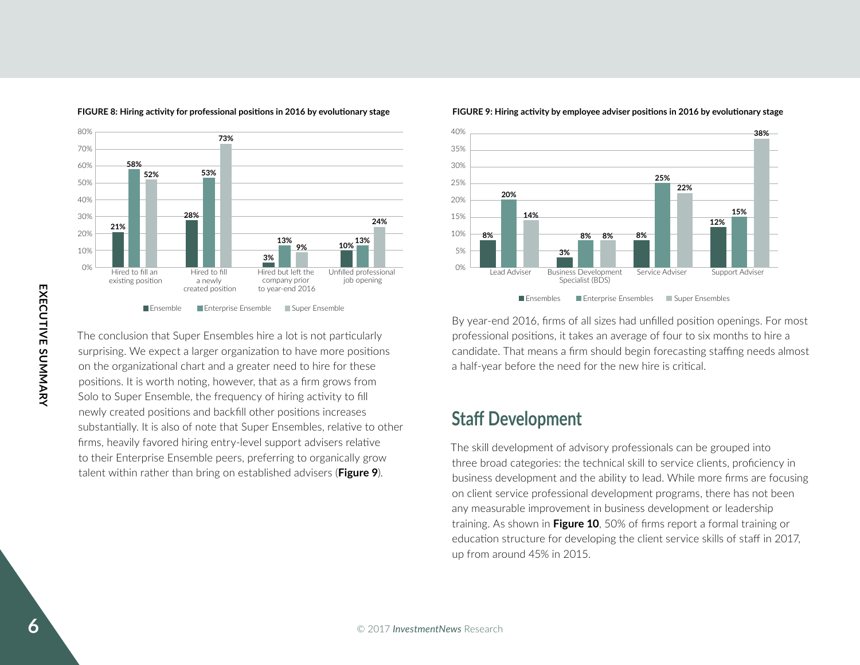

#### FIGURE 8: Hiring activity for professional positions in 2016 by evolutionary stage

The conclusion that Super Ensembles hire a lot is not particularly surprising. We expect a larger organization to have more positions on the organizational chart and a greater need to hire for these positions. It is worth noting, however, that as a firm grows from Solo to Super Ensemble, the frequency of hiring activity to fill newly created positions and backfill other positions increases substantially. It is also of note that Super Ensembles, relative to other firms, heavily favored hiring entry-level support advisers relative to their Enterprise Ensemble peers, preferring to organically grow talent within rather than bring on established advisers (**figure 9**).



#### FIGURE 9: Hiring activity by employee adviser positions in 2016 by evolutionary stage

By year-end 2016, firms of all sizes had unfilled position openings. For most professional positions, it takes an average of four to six months to hire a candidate. That means a firm should begin forecasting staffing needs almost a half-year before the need for the new hire is critical.

## **Staff Development**

The skill development of advisory professionals can be grouped into three broad categories: the technical skill to service clients, proficiency in business development and the ability to lead. While more firms are focusing on client service professional development programs, there has not been any measurable improvement in business development or leadership training. As shown in **figure 10**, 50% of firms report a formal training or education structure for developing the client service skills of staff in 2017, up from around 45% in 2015.